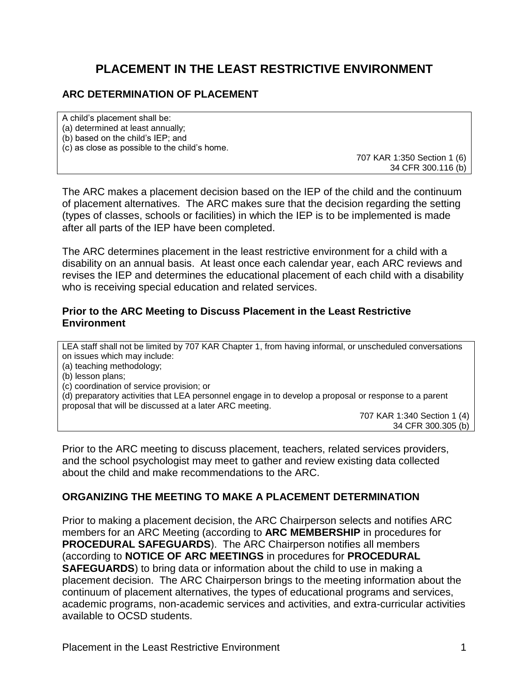# **PLACEMENT IN THE LEAST RESTRICTIVE ENVIRONMENT**

# **ARC DETERMINATION OF PLACEMENT**

A child's placement shall be: (a) determined at least annually; (b) based on the child's IEP; and (c) as close as possible to the child's home.

707 KAR 1:350 Section 1 (6) 34 CFR 300.116 (b)

The ARC makes a placement decision based on the IEP of the child and the continuum of placement alternatives. The ARC makes sure that the decision regarding the setting (types of classes, schools or facilities) in which the IEP is to be implemented is made after all parts of the IEP have been completed.

The ARC determines placement in the least restrictive environment for a child with a disability on an annual basis. At least once each calendar year, each ARC reviews and revises the IEP and determines the educational placement of each child with a disability who is receiving special education and related services.

#### **Prior to the ARC Meeting to Discuss Placement in the Least Restrictive Environment**

LEA staff shall not be limited by 707 KAR Chapter 1, from having informal, or unscheduled conversations on issues which may include:

(a) teaching methodology;

(b) lesson plans;

(c) coordination of service provision; or

(d) preparatory activities that LEA personnel engage in to develop a proposal or response to a parent proposal that will be discussed at a later ARC meeting.

> 707 KAR 1:340 Section 1 (4) 34 CFR 300.305 (b)

Prior to the ARC meeting to discuss placement, teachers, related services providers, and the school psychologist may meet to gather and review existing data collected about the child and make recommendations to the ARC.

# **ORGANIZING THE MEETING TO MAKE A PLACEMENT DETERMINATION**

Prior to making a placement decision, the ARC Chairperson selects and notifies ARC members for an ARC Meeting (according to **ARC MEMBERSHIP** in procedures for **PROCEDURAL SAFEGUARDS**). The ARC Chairperson notifies all members (according to **NOTICE OF ARC MEETINGS** in procedures for **PROCEDURAL SAFEGUARDS**) to bring data or information about the child to use in making a placement decision. The ARC Chairperson brings to the meeting information about the continuum of placement alternatives, the types of educational programs and services, academic programs, non-academic services and activities, and extra-curricular activities available to OCSD students.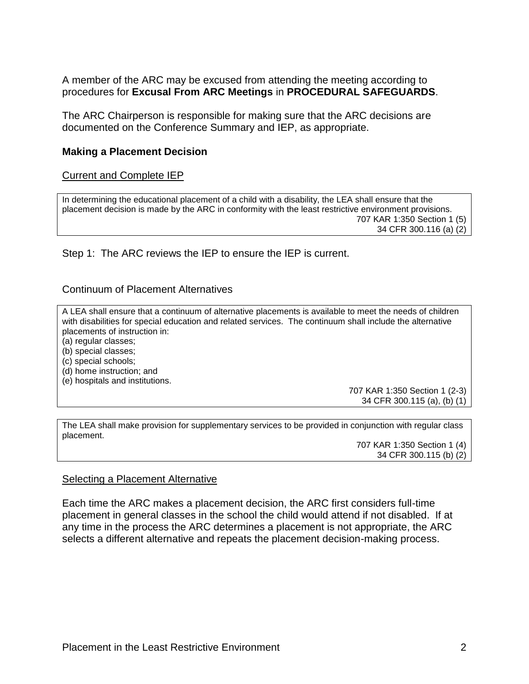A member of the ARC may be excused from attending the meeting according to procedures for **Excusal From ARC Meetings** in **PROCEDURAL SAFEGUARDS**.

The ARC Chairperson is responsible for making sure that the ARC decisions are documented on the Conference Summary and IEP, as appropriate.

### **Making a Placement Decision**

#### Current and Complete IEP

In determining the educational placement of a child with a disability, the LEA shall ensure that the placement decision is made by the ARC in conformity with the least restrictive environment provisions. 707 KAR 1:350 Section 1 (5) 34 CFR 300.116 (a) (2)

Step 1: The ARC reviews the IEP to ensure the IEP is current.

#### Continuum of Placement Alternatives

A LEA shall ensure that a continuum of alternative placements is available to meet the needs of children with disabilities for special education and related services. The continuum shall include the alternative placements of instruction in:

(a) regular classes;

(b) special classes;

(c) special schools;

(d) home instruction; and

(e) hospitals and institutions.

707 KAR 1:350 Section 1 (2-3) 34 CFR 300.115 (a), (b) (1)

The LEA shall make provision for supplementary services to be provided in conjunction with regular class placement.

> 707 KAR 1:350 Section 1 (4) 34 CFR 300.115 (b) (2)

#### Selecting a Placement Alternative

Each time the ARC makes a placement decision, the ARC first considers full-time placement in general classes in the school the child would attend if not disabled. If at any time in the process the ARC determines a placement is not appropriate, the ARC selects a different alternative and repeats the placement decision-making process.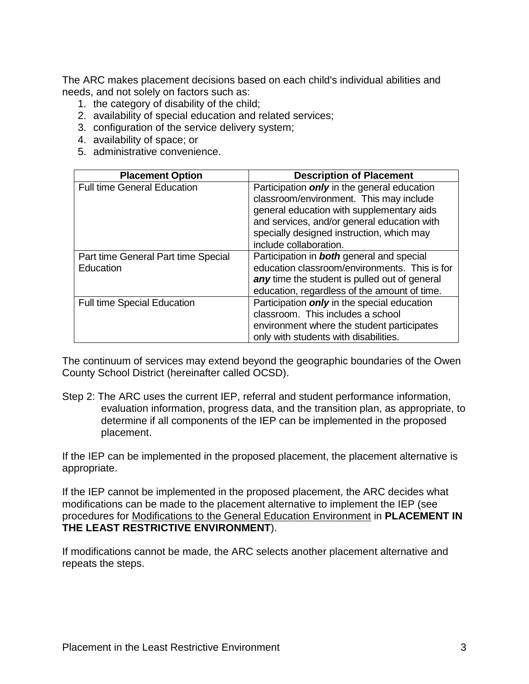The ARC makes placement decisions based on each child's individual abilities and needs, and not solely on factors such as:

- 1. the category of disability of the child;
- 2. availability of special education and related services;
- 3. configuration of the service delivery system;
- 4. availability of space; or
- 5. administrative convenience.

| <b>Placement Option</b>             | <b>Description of Placement</b>                    |
|-------------------------------------|----------------------------------------------------|
| <b>Full time General Education</b>  | Participation <i>only</i> in the general education |
|                                     | classroom/environment. This may include            |
|                                     | general education with supplementary aids          |
|                                     | and services, and/or general education with        |
|                                     | specially designed instruction, which may          |
|                                     | include collaboration.                             |
| Part time General Part time Special | Participation in <b>both</b> general and special   |
| Education                           | education classroom/environments. This is for      |
|                                     | any time the student is pulled out of general      |
|                                     | education, regardless of the amount of time.       |
| <b>Full time Special Education</b>  | Participation <i>only</i> in the special education |
|                                     | classroom. This includes a school                  |
|                                     | environment where the student participates         |
|                                     | only with students with disabilities.              |

The continuum of services may extend beyond the geographic boundaries of the Owen County School District (hereinafter called OCSD).

Step 2: The ARC uses the current IEP, referral and student performance information, evaluation information, progress data, and the transition plan, as appropriate, to determine if all components of the IEP can be implemented in the proposed placement.

If the IEP can be implemented in the proposed placement, the placement alternative is appropriate.

If the IEP cannot be implemented in the proposed placement, the ARC decides what modifications can be made to the placement alternative to implement the IEP (see procedures for Modifications to the General Education Environment in **PLACEMENT IN THE LEAST RESTRICTIVE ENVIRONMENT**).

If modifications cannot be made, the ARC selects another placement alternative and repeats the steps.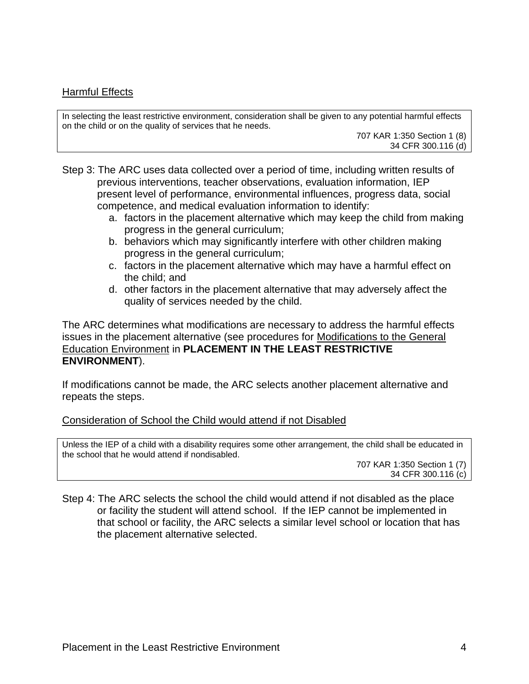# Harmful Effects

In selecting the least restrictive environment, consideration shall be given to any potential harmful effects on the child or on the quality of services that he needs.

707 KAR 1:350 Section 1 (8) 34 CFR 300.116 (d)

Step 3: The ARC uses data collected over a period of time, including written results of previous interventions, teacher observations, evaluation information, IEP present level of performance, environmental influences, progress data, social competence, and medical evaluation information to identify:

- a. factors in the placement alternative which may keep the child from making progress in the general curriculum;
- b. behaviors which may significantly interfere with other children making progress in the general curriculum;
- c. factors in the placement alternative which may have a harmful effect on the child; and
- d. other factors in the placement alternative that may adversely affect the quality of services needed by the child.

The ARC determines what modifications are necessary to address the harmful effects issues in the placement alternative (see procedures for Modifications to the General Education Environment in **PLACEMENT IN THE LEAST RESTRICTIVE ENVIRONMENT**).

If modifications cannot be made, the ARC selects another placement alternative and repeats the steps.

# Consideration of School the Child would attend if not Disabled

Unless the IEP of a child with a disability requires some other arrangement, the child shall be educated in the school that he would attend if nondisabled.

707 KAR 1:350 Section 1 (7) 34 CFR 300.116 (c)

Step 4: The ARC selects the school the child would attend if not disabled as the place or facility the student will attend school. If the IEP cannot be implemented in that school or facility, the ARC selects a similar level school or location that has the placement alternative selected.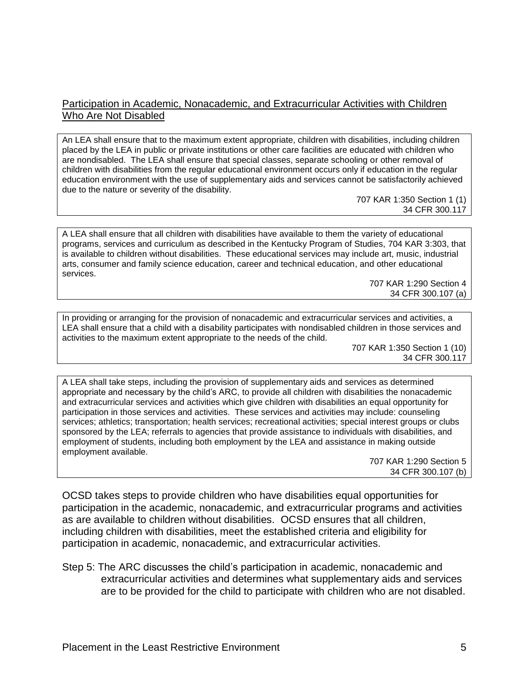### Participation in Academic, Nonacademic, and Extracurricular Activities with Children Who Are Not Disabled

An LEA shall ensure that to the maximum extent appropriate, children with disabilities, including children placed by the LEA in public or private institutions or other care facilities are educated with children who are nondisabled. The LEA shall ensure that special classes, separate schooling or other removal of children with disabilities from the regular educational environment occurs only if education in the regular education environment with the use of supplementary aids and services cannot be satisfactorily achieved due to the nature or severity of the disability.

> 707 KAR 1:350 Section 1 (1) 34 CFR 300.117

A LEA shall ensure that all children with disabilities have available to them the variety of educational programs, services and curriculum as described in the Kentucky Program of Studies, 704 KAR 3:303, that is available to children without disabilities. These educational services may include art, music, industrial arts, consumer and family science education, career and technical education, and other educational services.

707 KAR 1:290 Section 4 34 CFR 300.107 (a)

In providing or arranging for the provision of nonacademic and extracurricular services and activities, a LEA shall ensure that a child with a disability participates with nondisabled children in those services and activities to the maximum extent appropriate to the needs of the child.

> 707 KAR 1:350 Section 1 (10) 34 CFR 300.117

A LEA shall take steps, including the provision of supplementary aids and services as determined appropriate and necessary by the child's ARC, to provide all children with disabilities the nonacademic and extracurricular services and activities which give children with disabilities an equal opportunity for participation in those services and activities. These services and activities may include: counseling services; athletics; transportation; health services; recreational activities; special interest groups or clubs sponsored by the LEA; referrals to agencies that provide assistance to individuals with disabilities, and employment of students, including both employment by the LEA and assistance in making outside employment available.

707 KAR 1:290 Section 5 34 CFR 300.107 (b)

OCSD takes steps to provide children who have disabilities equal opportunities for participation in the academic, nonacademic, and extracurricular programs and activities as are available to children without disabilities. OCSD ensures that all children, including children with disabilities, meet the established criteria and eligibility for participation in academic, nonacademic, and extracurricular activities.

Step 5: The ARC discusses the child's participation in academic, nonacademic and extracurricular activities and determines what supplementary aids and services are to be provided for the child to participate with children who are not disabled.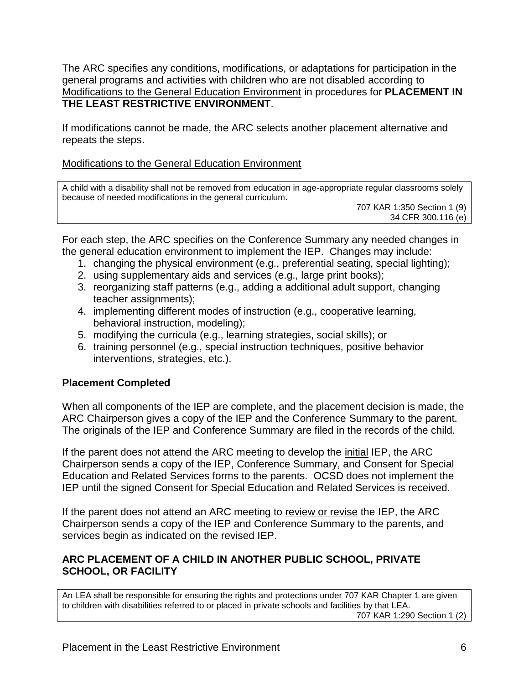The ARC specifies any conditions, modifications, or adaptations for participation in the general programs and activities with children who are not disabled according to Modifications to the General Education Environment in procedures for **PLACEMENT IN THE LEAST RESTRICTIVE ENVIRONMENT**.

If modifications cannot be made, the ARC selects another placement alternative and repeats the steps.

# Modifications to the General Education Environment

A child with a disability shall not be removed from education in age-appropriate regular classrooms solely because of needed modifications in the general curriculum.

707 KAR 1:350 Section 1 (9) 34 CFR 300.116 (e)

For each step, the ARC specifies on the Conference Summary any needed changes in the general education environment to implement the IEP. Changes may include:

- 1. changing the physical environment (e.g., preferential seating, special lighting);
- 2. using supplementary aids and services (e.g., large print books);
- 3. reorganizing staff patterns (e.g., adding a additional adult support, changing teacher assignments);
- 4. implementing different modes of instruction (e.g., cooperative learning, behavioral instruction, modeling);
- 5. modifying the curricula (e.g., learning strategies, social skills); or
- 6. training personnel (e.g., special instruction techniques, positive behavior interventions, strategies, etc.).

# **Placement Completed**

When all components of the IEP are complete, and the placement decision is made, the ARC Chairperson gives a copy of the IEP and the Conference Summary to the parent. The originals of the IEP and Conference Summary are filed in the records of the child.

If the parent does not attend the ARC meeting to develop the initial IEP, the ARC Chairperson sends a copy of the IEP, Conference Summary, and Consent for Special Education and Related Services forms to the parents. OCSD does not implement the IEP until the signed Consent for Special Education and Related Services is received.

If the parent does not attend an ARC meeting to review or revise the IEP, the ARC Chairperson sends a copy of the IEP and Conference Summary to the parents, and services begin as indicated on the revised IEP.

# **ARC PLACEMENT OF A CHILD IN ANOTHER PUBLIC SCHOOL, PRIVATE SCHOOL, OR FACILITY**

An LEA shall be responsible for ensuring the rights and protections under 707 KAR Chapter 1 are given to children with disabilities referred to or placed in private schools and facilities by that LEA. 707 KAR 1:290 Section 1 (2)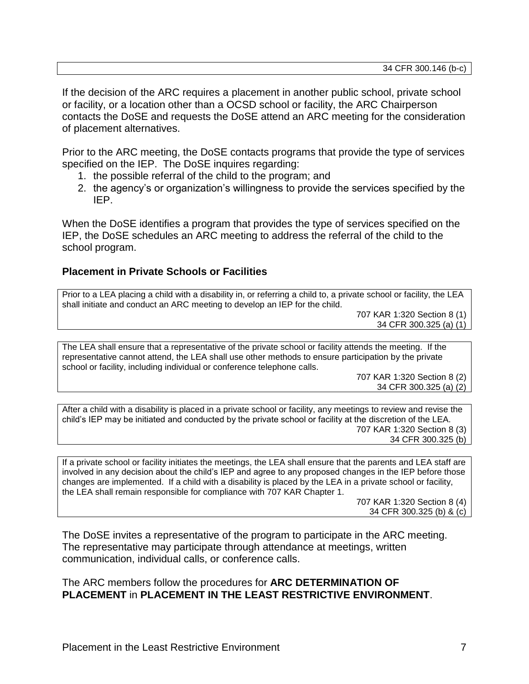If the decision of the ARC requires a placement in another public school, private school or facility, or a location other than a OCSD school or facility, the ARC Chairperson contacts the DoSE and requests the DoSE attend an ARC meeting for the consideration of placement alternatives.

Prior to the ARC meeting, the DoSE contacts programs that provide the type of services specified on the IEP. The DoSE inquires regarding:

- 1. the possible referral of the child to the program; and
- 2. the agency's or organization's willingness to provide the services specified by the IEP.

When the DoSE identifies a program that provides the type of services specified on the IEP, the DoSE schedules an ARC meeting to address the referral of the child to the school program.

# **Placement in Private Schools or Facilities**

Prior to a LEA placing a child with a disability in, or referring a child to, a private school or facility, the LEA shall initiate and conduct an ARC meeting to develop an IEP for the child.

707 KAR 1:320 Section 8 (1) 34 CFR 300.325 (a) (1)

The LEA shall ensure that a representative of the private school or facility attends the meeting. If the representative cannot attend, the LEA shall use other methods to ensure participation by the private school or facility, including individual or conference telephone calls.

> 707 KAR 1:320 Section 8 (2) 34 CFR 300.325 (a) (2)

After a child with a disability is placed in a private school or facility, any meetings to review and revise the child's IEP may be initiated and conducted by the private school or facility at the discretion of the LEA. 707 KAR 1:320 Section 8 (3) 34 CFR 300.325 (b)

If a private school or facility initiates the meetings, the LEA shall ensure that the parents and LEA staff are involved in any decision about the child's IEP and agree to any proposed changes in the IEP before those changes are implemented. If a child with a disability is placed by the LEA in a private school or facility, the LEA shall remain responsible for compliance with 707 KAR Chapter 1.

> 707 KAR 1:320 Section 8 (4) 34 CFR 300.325 (b) & (c)

The DoSE invites a representative of the program to participate in the ARC meeting. The representative may participate through attendance at meetings, written communication, individual calls, or conference calls.

The ARC members follow the procedures for **ARC DETERMINATION OF PLACEMENT** in **PLACEMENT IN THE LEAST RESTRICTIVE ENVIRONMENT**.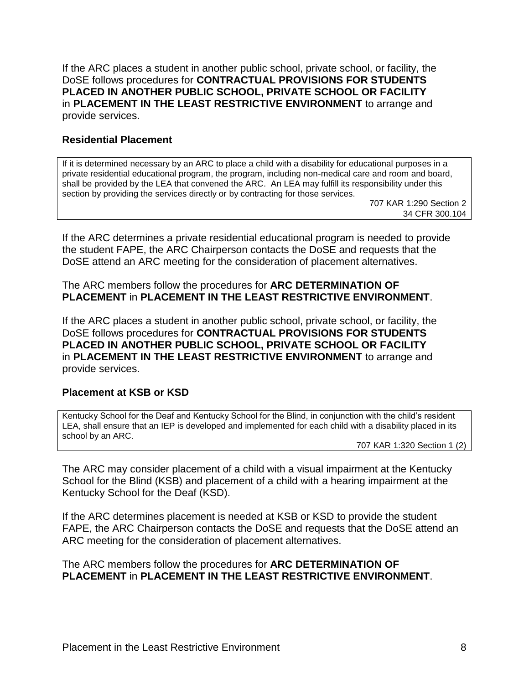If the ARC places a student in another public school, private school, or facility, the DoSE follows procedures for **CONTRACTUAL PROVISIONS FOR STUDENTS PLACED IN ANOTHER PUBLIC SCHOOL, PRIVATE SCHOOL OR FACILITY** in **PLACEMENT IN THE LEAST RESTRICTIVE ENVIRONMENT** to arrange and provide services.

#### **Residential Placement**

If it is determined necessary by an ARC to place a child with a disability for educational purposes in a private residential educational program, the program, including non-medical care and room and board, shall be provided by the LEA that convened the ARC. An LEA may fulfill its responsibility under this section by providing the services directly or by contracting for those services.

707 KAR 1:290 Section 2 34 CFR 300.104

If the ARC determines a private residential educational program is needed to provide the student FAPE, the ARC Chairperson contacts the DoSE and requests that the DoSE attend an ARC meeting for the consideration of placement alternatives.

#### The ARC members follow the procedures for **ARC DETERMINATION OF PLACEMENT** in **PLACEMENT IN THE LEAST RESTRICTIVE ENVIRONMENT**.

If the ARC places a student in another public school, private school, or facility, the DoSE follows procedures for **CONTRACTUAL PROVISIONS FOR STUDENTS PLACED IN ANOTHER PUBLIC SCHOOL, PRIVATE SCHOOL OR FACILITY** in **PLACEMENT IN THE LEAST RESTRICTIVE ENVIRONMENT** to arrange and provide services.

# **Placement at KSB or KSD**

Kentucky School for the Deaf and Kentucky School for the Blind, in conjunction with the child's resident LEA, shall ensure that an IEP is developed and implemented for each child with a disability placed in its school by an ARC.

707 KAR 1:320 Section 1 (2)

The ARC may consider placement of a child with a visual impairment at the Kentucky School for the Blind (KSB) and placement of a child with a hearing impairment at the Kentucky School for the Deaf (KSD).

If the ARC determines placement is needed at KSB or KSD to provide the student FAPE, the ARC Chairperson contacts the DoSE and requests that the DoSE attend an ARC meeting for the consideration of placement alternatives.

The ARC members follow the procedures for **ARC DETERMINATION OF PLACEMENT** in **PLACEMENT IN THE LEAST RESTRICTIVE ENVIRONMENT**.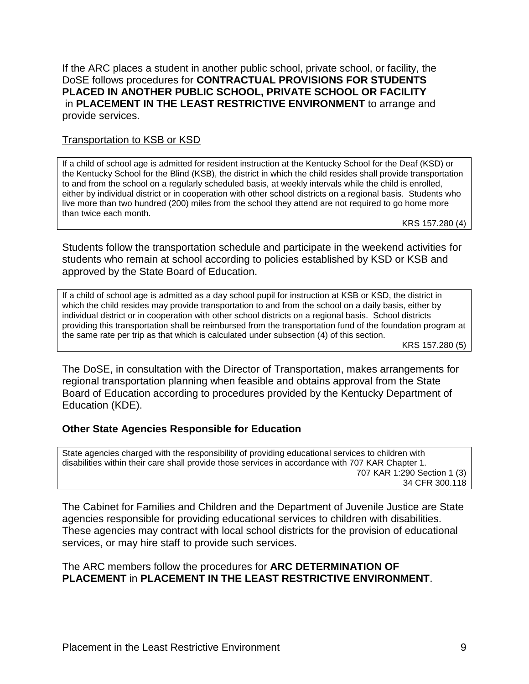If the ARC places a student in another public school, private school, or facility, the DoSE follows procedures for **CONTRACTUAL PROVISIONS FOR STUDENTS PLACED IN ANOTHER PUBLIC SCHOOL, PRIVATE SCHOOL OR FACILITY** in **PLACEMENT IN THE LEAST RESTRICTIVE ENVIRONMENT** to arrange and provide services.

### Transportation to KSB or KSD

If a child of school age is admitted for resident instruction at the Kentucky School for the Deaf (KSD) or the Kentucky School for the Blind (KSB), the district in which the child resides shall provide transportation to and from the school on a regularly scheduled basis, at weekly intervals while the child is enrolled, either by individual district or in cooperation with other school districts on a regional basis. Students who live more than two hundred (200) miles from the school they attend are not required to go home more than twice each month.

KRS 157.280 (4)

Students follow the transportation schedule and participate in the weekend activities for students who remain at school according to policies established by KSD or KSB and approved by the State Board of Education.

If a child of school age is admitted as a day school pupil for instruction at KSB or KSD, the district in which the child resides may provide transportation to and from the school on a daily basis, either by individual district or in cooperation with other school districts on a regional basis. School districts providing this transportation shall be reimbursed from the transportation fund of the foundation program at the same rate per trip as that which is calculated under subsection (4) of this section.

KRS 157.280 (5)

The DoSE, in consultation with the Director of Transportation, makes arrangements for regional transportation planning when feasible and obtains approval from the State Board of Education according to procedures provided by the Kentucky Department of Education (KDE).

#### **Other State Agencies Responsible for Education**

State agencies charged with the responsibility of providing educational services to children with disabilities within their care shall provide those services in accordance with 707 KAR Chapter 1. 707 KAR 1:290 Section 1 (3) 34 CFR 300.118

The Cabinet for Families and Children and the Department of Juvenile Justice are State agencies responsible for providing educational services to children with disabilities. These agencies may contract with local school districts for the provision of educational services, or may hire staff to provide such services.

# The ARC members follow the procedures for **ARC DETERMINATION OF PLACEMENT** in **PLACEMENT IN THE LEAST RESTRICTIVE ENVIRONMENT**.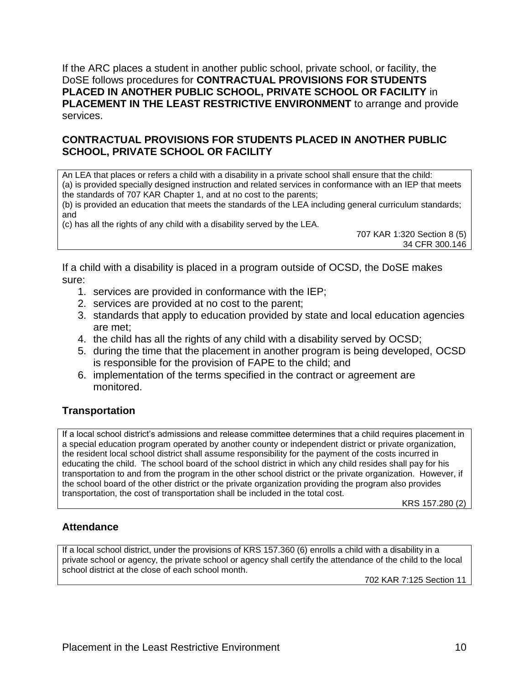If the ARC places a student in another public school, private school, or facility, the DoSE follows procedures for **CONTRACTUAL PROVISIONS FOR STUDENTS PLACED IN ANOTHER PUBLIC SCHOOL, PRIVATE SCHOOL OR FACILITY** in **PLACEMENT IN THE LEAST RESTRICTIVE ENVIRONMENT** to arrange and provide services.

# **CONTRACTUAL PROVISIONS FOR STUDENTS PLACED IN ANOTHER PUBLIC SCHOOL, PRIVATE SCHOOL OR FACILITY**

An LEA that places or refers a child with a disability in a private school shall ensure that the child: (a) is provided specially designed instruction and related services in conformance with an IEP that meets the standards of 707 KAR Chapter 1, and at no cost to the parents;

(b) is provided an education that meets the standards of the LEA including general curriculum standards; and

(c) has all the rights of any child with a disability served by the LEA.

707 KAR 1:320 Section 8 (5) 34 CFR 300.146

If a child with a disability is placed in a program outside of OCSD, the DoSE makes sure:

- 1. services are provided in conformance with the IEP;
- 2. services are provided at no cost to the parent;
- 3. standards that apply to education provided by state and local education agencies are met;
- 4. the child has all the rights of any child with a disability served by OCSD;
- 5. during the time that the placement in another program is being developed, OCSD is responsible for the provision of FAPE to the child; and
- 6. implementation of the terms specified in the contract or agreement are monitored.

# **Transportation**

If a local school district's admissions and release committee determines that a child requires placement in a special education program operated by another county or independent district or private organization, the resident local school district shall assume responsibility for the payment of the costs incurred in educating the child. The school board of the school district in which any child resides shall pay for his transportation to and from the program in the other school district or the private organization. However, if the school board of the other district or the private organization providing the program also provides transportation, the cost of transportation shall be included in the total cost.

KRS 157.280 (2)

# **Attendance**

If a local school district, under the provisions of KRS 157.360 (6) enrolls a child with a disability in a private school or agency, the private school or agency shall certify the attendance of the child to the local school district at the close of each school month.

702 KAR 7:125 Section 11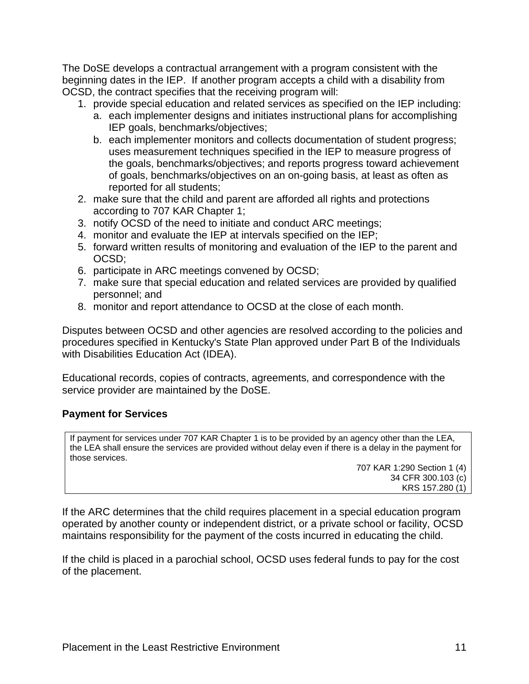The DoSE develops a contractual arrangement with a program consistent with the beginning dates in the IEP. If another program accepts a child with a disability from OCSD, the contract specifies that the receiving program will:

- 1. provide special education and related services as specified on the IEP including:
	- a. each implementer designs and initiates instructional plans for accomplishing IEP goals, benchmarks/objectives;
	- b. each implementer monitors and collects documentation of student progress; uses measurement techniques specified in the IEP to measure progress of the goals, benchmarks/objectives; and reports progress toward achievement of goals, benchmarks/objectives on an on-going basis, at least as often as reported for all students;
- 2. make sure that the child and parent are afforded all rights and protections according to 707 KAR Chapter 1;
- 3. notify OCSD of the need to initiate and conduct ARC meetings;
- 4. monitor and evaluate the IEP at intervals specified on the IEP;
- 5. forward written results of monitoring and evaluation of the IEP to the parent and OCSD;
- 6. participate in ARC meetings convened by OCSD;
- 7. make sure that special education and related services are provided by qualified personnel; and
- 8. monitor and report attendance to OCSD at the close of each month.

Disputes between OCSD and other agencies are resolved according to the policies and procedures specified in Kentucky's State Plan approved under Part B of the Individuals with Disabilities Education Act (IDEA).

Educational records, copies of contracts, agreements, and correspondence with the service provider are maintained by the DoSE.

# **Payment for Services**

If payment for services under 707 KAR Chapter 1 is to be provided by an agency other than the LEA, the LEA shall ensure the services are provided without delay even if there is a delay in the payment for those services.

> 707 KAR 1:290 Section 1 (4) 34 CFR 300.103 (c) KRS 157.280 (1)

If the ARC determines that the child requires placement in a special education program operated by another county or independent district, or a private school or facility, OCSD maintains responsibility for the payment of the costs incurred in educating the child.

If the child is placed in a parochial school, OCSD uses federal funds to pay for the cost of the placement.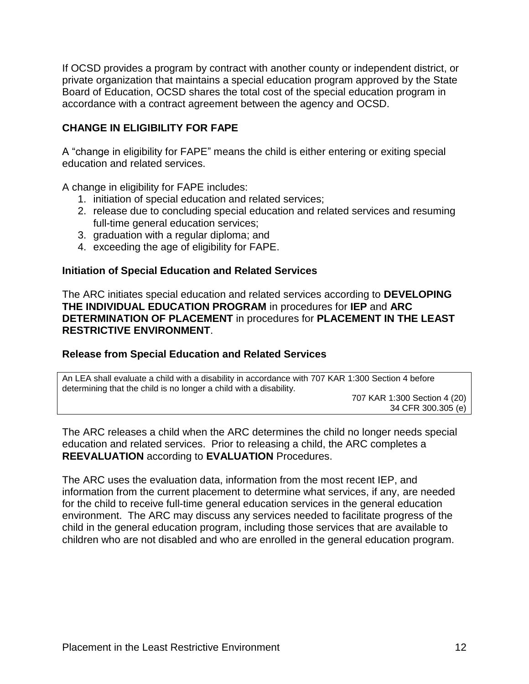If OCSD provides a program by contract with another county or independent district, or private organization that maintains a special education program approved by the State Board of Education, OCSD shares the total cost of the special education program in accordance with a contract agreement between the agency and OCSD.

# **CHANGE IN ELIGIBILITY FOR FAPE**

A "change in eligibility for FAPE" means the child is either entering or exiting special education and related services.

A change in eligibility for FAPE includes:

- 1. initiation of special education and related services;
- 2. release due to concluding special education and related services and resuming full-time general education services;
- 3. graduation with a regular diploma; and
- 4. exceeding the age of eligibility for FAPE.

#### **Initiation of Special Education and Related Services**

The ARC initiates special education and related services according to **DEVELOPING THE INDIVIDUAL EDUCATION PROGRAM** in procedures for **IEP** and **ARC DETERMINATION OF PLACEMENT** in procedures for **PLACEMENT IN THE LEAST RESTRICTIVE ENVIRONMENT**.

# **Release from Special Education and Related Services**

An LEA shall evaluate a child with a disability in accordance with 707 KAR 1:300 Section 4 before determining that the child is no longer a child with a disability.

707 KAR 1:300 Section 4 (20) 34 CFR 300.305 (e)

The ARC releases a child when the ARC determines the child no longer needs special education and related services. Prior to releasing a child, the ARC completes a **REEVALUATION** according to **EVALUATION** Procedures.

The ARC uses the evaluation data, information from the most recent IEP, and information from the current placement to determine what services, if any, are needed for the child to receive full-time general education services in the general education environment. The ARC may discuss any services needed to facilitate progress of the child in the general education program, including those services that are available to children who are not disabled and who are enrolled in the general education program.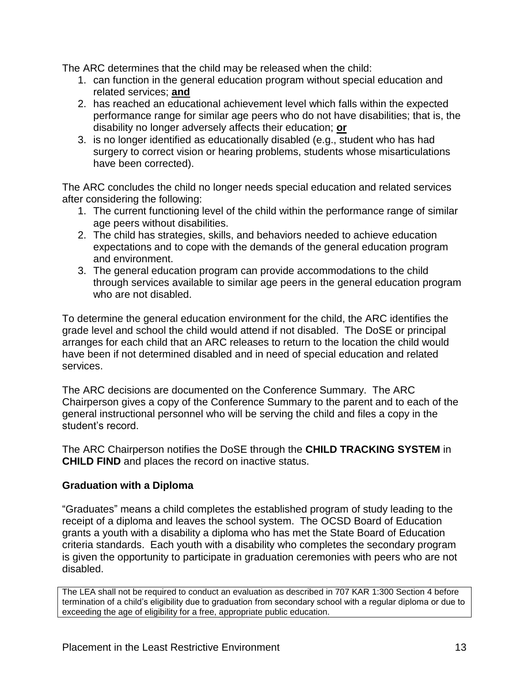The ARC determines that the child may be released when the child:

- 1. can function in the general education program without special education and related services; **and**
- 2. has reached an educational achievement level which falls within the expected performance range for similar age peers who do not have disabilities; that is, the disability no longer adversely affects their education; **or**
- 3. is no longer identified as educationally disabled (e.g., student who has had surgery to correct vision or hearing problems, students whose misarticulations have been corrected).

The ARC concludes the child no longer needs special education and related services after considering the following:

- 1. The current functioning level of the child within the performance range of similar age peers without disabilities.
- 2. The child has strategies, skills, and behaviors needed to achieve education expectations and to cope with the demands of the general education program and environment.
- 3. The general education program can provide accommodations to the child through services available to similar age peers in the general education program who are not disabled.

To determine the general education environment for the child, the ARC identifies the grade level and school the child would attend if not disabled. The DoSE or principal arranges for each child that an ARC releases to return to the location the child would have been if not determined disabled and in need of special education and related services.

The ARC decisions are documented on the Conference Summary. The ARC Chairperson gives a copy of the Conference Summary to the parent and to each of the general instructional personnel who will be serving the child and files a copy in the student's record.

The ARC Chairperson notifies the DoSE through the **CHILD TRACKING SYSTEM** in **CHILD FIND** and places the record on inactive status.

# **Graduation with a Diploma**

"Graduates" means a child completes the established program of study leading to the receipt of a diploma and leaves the school system. The OCSD Board of Education grants a youth with a disability a diploma who has met the State Board of Education criteria standards. Each youth with a disability who completes the secondary program is given the opportunity to participate in graduation ceremonies with peers who are not disabled.

The LEA shall not be required to conduct an evaluation as described in 707 KAR 1:300 Section 4 before termination of a child's eligibility due to graduation from secondary school with a regular diploma or due to exceeding the age of eligibility for a free, appropriate public education.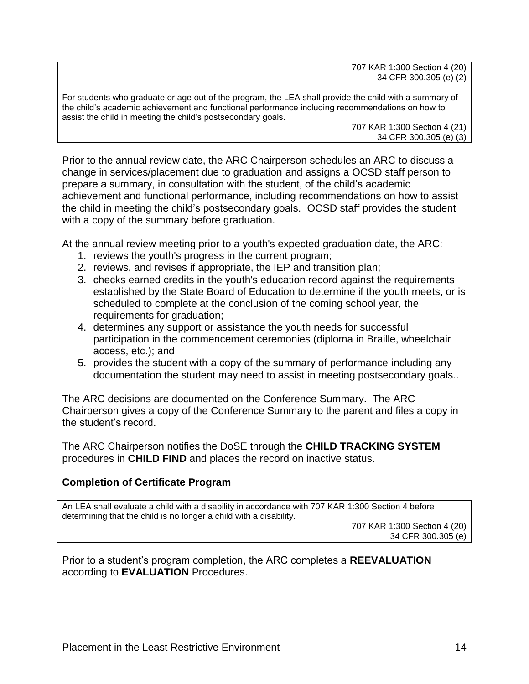707 KAR 1:300 Section 4 (20) 34 CFR 300.305 (e) (2)

For students who graduate or age out of the program, the LEA shall provide the child with a summary of the child's academic achievement and functional performance including recommendations on how to assist the child in meeting the child's postsecondary goals.

707 KAR 1:300 Section 4 (21) 34 CFR 300.305 (e) (3)

Prior to the annual review date, the ARC Chairperson schedules an ARC to discuss a change in services/placement due to graduation and assigns a OCSD staff person to prepare a summary, in consultation with the student, of the child's academic achievement and functional performance, including recommendations on how to assist the child in meeting the child's postsecondary goals. OCSD staff provides the student with a copy of the summary before graduation.

At the annual review meeting prior to a youth's expected graduation date, the ARC:

- 1. reviews the youth's progress in the current program;
- 2. reviews, and revises if appropriate, the IEP and transition plan;
- 3. checks earned credits in the youth's education record against the requirements established by the State Board of Education to determine if the youth meets, or is scheduled to complete at the conclusion of the coming school year, the requirements for graduation;
- 4. determines any support or assistance the youth needs for successful participation in the commencement ceremonies (diploma in Braille, wheelchair access, etc.); and
- 5. provides the student with a copy of the summary of performance including any documentation the student may need to assist in meeting postsecondary goals..

The ARC decisions are documented on the Conference Summary. The ARC Chairperson gives a copy of the Conference Summary to the parent and files a copy in the student's record.

The ARC Chairperson notifies the DoSE through the **CHILD TRACKING SYSTEM** procedures in **CHILD FIND** and places the record on inactive status.

# **Completion of Certificate Program**

An LEA shall evaluate a child with a disability in accordance with 707 KAR 1:300 Section 4 before determining that the child is no longer a child with a disability.

707 KAR 1:300 Section 4 (20) 34 CFR 300.305 (e)

Prior to a student's program completion, the ARC completes a **REEVALUATION** according to **EVALUATION** Procedures.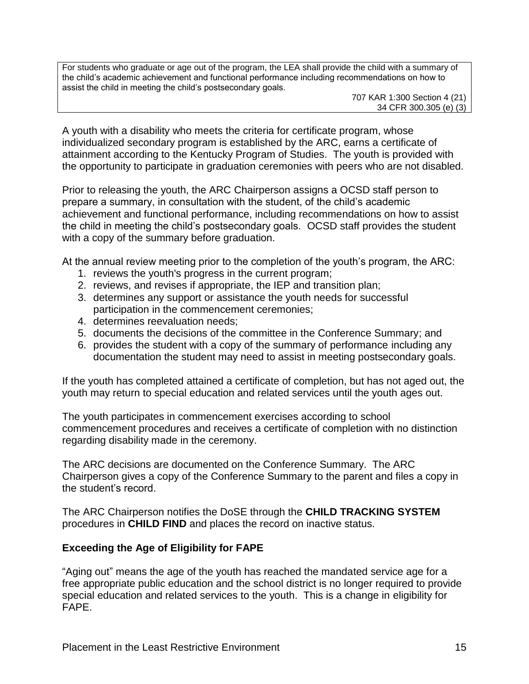For students who graduate or age out of the program, the LEA shall provide the child with a summary of the child's academic achievement and functional performance including recommendations on how to assist the child in meeting the child's postsecondary goals.

707 KAR 1:300 Section 4 (21) 34 CFR 300.305 (e) (3)

A youth with a disability who meets the criteria for certificate program, whose individualized secondary program is established by the ARC, earns a certificate of attainment according to the Kentucky Program of Studies. The youth is provided with the opportunity to participate in graduation ceremonies with peers who are not disabled.

Prior to releasing the youth, the ARC Chairperson assigns a OCSD staff person to prepare a summary, in consultation with the student, of the child's academic achievement and functional performance, including recommendations on how to assist the child in meeting the child's postsecondary goals. OCSD staff provides the student with a copy of the summary before graduation.

At the annual review meeting prior to the completion of the youth's program, the ARC:

- 1. reviews the youth's progress in the current program;
- 2. reviews, and revises if appropriate, the IEP and transition plan;
- 3. determines any support or assistance the youth needs for successful participation in the commencement ceremonies;
- 4. determines reevaluation needs;
- 5. documents the decisions of the committee in the Conference Summary; and
- 6. provides the student with a copy of the summary of performance including any documentation the student may need to assist in meeting postsecondary goals.

If the youth has completed attained a certificate of completion, but has not aged out, the youth may return to special education and related services until the youth ages out.

The youth participates in commencement exercises according to school commencement procedures and receives a certificate of completion with no distinction regarding disability made in the ceremony.

The ARC decisions are documented on the Conference Summary. The ARC Chairperson gives a copy of the Conference Summary to the parent and files a copy in the student's record.

The ARC Chairperson notifies the DoSE through the **CHILD TRACKING SYSTEM** procedures in **CHILD FIND** and places the record on inactive status.

# **Exceeding the Age of Eligibility for FAPE**

"Aging out" means the age of the youth has reached the mandated service age for a free appropriate public education and the school district is no longer required to provide special education and related services to the youth. This is a change in eligibility for FAPE.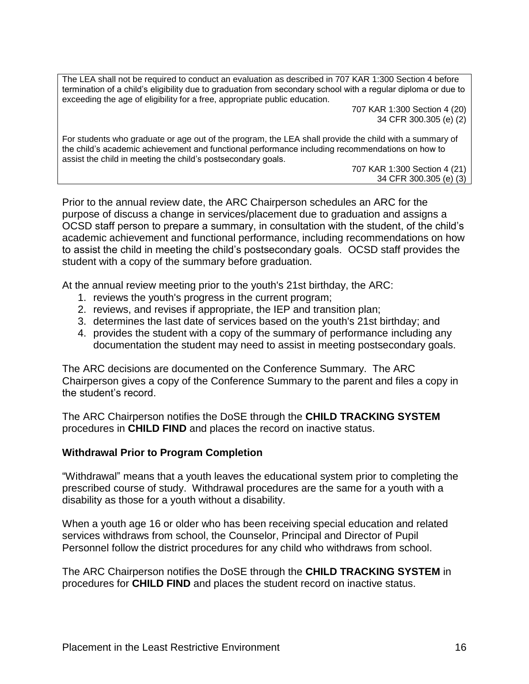The LEA shall not be required to conduct an evaluation as described in 707 KAR 1:300 Section 4 before termination of a child's eligibility due to graduation from secondary school with a regular diploma or due to exceeding the age of eligibility for a free, appropriate public education.

707 KAR 1:300 Section 4 (20) 34 CFR 300.305 (e) (2)

For students who graduate or age out of the program, the LEA shall provide the child with a summary of the child's academic achievement and functional performance including recommendations on how to assist the child in meeting the child's postsecondary goals.

707 KAR 1:300 Section 4 (21) 34 CFR 300.305 (e) (3)

Prior to the annual review date, the ARC Chairperson schedules an ARC for the purpose of discuss a change in services/placement due to graduation and assigns a OCSD staff person to prepare a summary, in consultation with the student, of the child's academic achievement and functional performance, including recommendations on how to assist the child in meeting the child's postsecondary goals. OCSD staff provides the student with a copy of the summary before graduation.

At the annual review meeting prior to the youth's 21st birthday, the ARC:

- 1. reviews the youth's progress in the current program;
- 2. reviews, and revises if appropriate, the IEP and transition plan;
- 3. determines the last date of services based on the youth's 21st birthday; and
- 4. provides the student with a copy of the summary of performance including any documentation the student may need to assist in meeting postsecondary goals.

The ARC decisions are documented on the Conference Summary. The ARC Chairperson gives a copy of the Conference Summary to the parent and files a copy in the student's record.

The ARC Chairperson notifies the DoSE through the **CHILD TRACKING SYSTEM** procedures in **CHILD FIND** and places the record on inactive status.

# **Withdrawal Prior to Program Completion**

"Withdrawal" means that a youth leaves the educational system prior to completing the prescribed course of study. Withdrawal procedures are the same for a youth with a disability as those for a youth without a disability.

When a youth age 16 or older who has been receiving special education and related services withdraws from school, the Counselor, Principal and Director of Pupil Personnel follow the district procedures for any child who withdraws from school.

The ARC Chairperson notifies the DoSE through the **CHILD TRACKING SYSTEM** in procedures for **CHILD FIND** and places the student record on inactive status.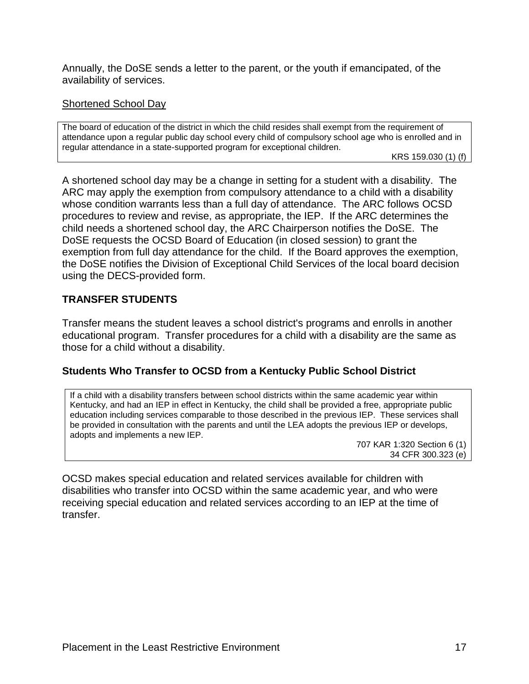Annually, the DoSE sends a letter to the parent, or the youth if emancipated, of the availability of services.

### Shortened School Day

The board of education of the district in which the child resides shall exempt from the requirement of attendance upon a regular public day school every child of compulsory school age who is enrolled and in regular attendance in a state-supported program for exceptional children.

KRS 159.030 (1) (f)

A shortened school day may be a change in setting for a student with a disability. The ARC may apply the exemption from compulsory attendance to a child with a disability whose condition warrants less than a full day of attendance. The ARC follows OCSD procedures to review and revise, as appropriate, the IEP. If the ARC determines the child needs a shortened school day, the ARC Chairperson notifies the DoSE. The DoSE requests the OCSD Board of Education (in closed session) to grant the exemption from full day attendance for the child. If the Board approves the exemption, the DoSE notifies the Division of Exceptional Child Services of the local board decision using the DECS-provided form.

# **TRANSFER STUDENTS**

Transfer means the student leaves a school district's programs and enrolls in another educational program. Transfer procedures for a child with a disability are the same as those for a child without a disability.

# **Students Who Transfer to OCSD from a Kentucky Public School District**

If a child with a disability transfers between school districts within the same academic year within Kentucky, and had an IEP in effect in Kentucky, the child shall be provided a free, appropriate public education including services comparable to those described in the previous IEP. These services shall be provided in consultation with the parents and until the LEA adopts the previous IEP or develops, adopts and implements a new IEP.

> 707 KAR 1:320 Section 6 (1) 34 CFR 300.323 (e)

OCSD makes special education and related services available for children with disabilities who transfer into OCSD within the same academic year, and who were receiving special education and related services according to an IEP at the time of transfer.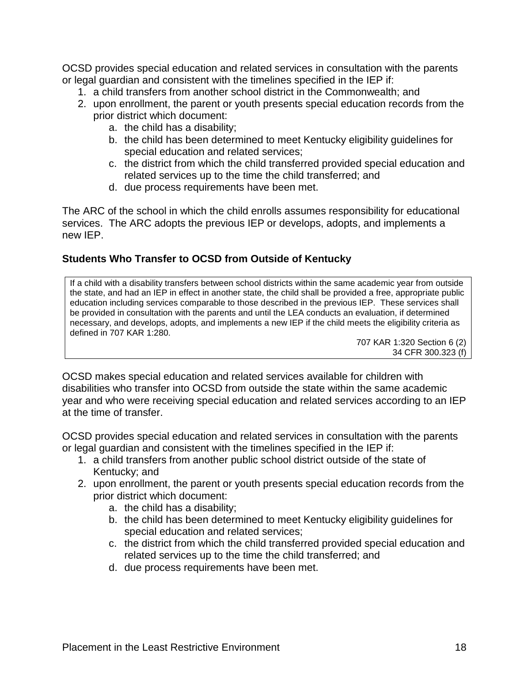OCSD provides special education and related services in consultation with the parents or legal guardian and consistent with the timelines specified in the IEP if:

- 1. a child transfers from another school district in the Commonwealth; and
- 2. upon enrollment, the parent or youth presents special education records from the prior district which document:
	- a. the child has a disability;
	- b. the child has been determined to meet Kentucky eligibility guidelines for special education and related services;
	- c. the district from which the child transferred provided special education and related services up to the time the child transferred; and
	- d. due process requirements have been met.

The ARC of the school in which the child enrolls assumes responsibility for educational services. The ARC adopts the previous IEP or develops, adopts, and implements a new IEP.

# **Students Who Transfer to OCSD from Outside of Kentucky**

If a child with a disability transfers between school districts within the same academic year from outside the state, and had an IEP in effect in another state, the child shall be provided a free, appropriate public education including services comparable to those described in the previous IEP. These services shall be provided in consultation with the parents and until the LEA conducts an evaluation, if determined necessary, and develops, adopts, and implements a new IEP if the child meets the eligibility criteria as defined in 707 KAR 1:280.

707 KAR 1:320 Section 6 (2) 34 CFR 300.323 (f)

OCSD makes special education and related services available for children with disabilities who transfer into OCSD from outside the state within the same academic year and who were receiving special education and related services according to an IEP at the time of transfer.

OCSD provides special education and related services in consultation with the parents or legal guardian and consistent with the timelines specified in the IEP if:

- 1. a child transfers from another public school district outside of the state of Kentucky; and
- 2. upon enrollment, the parent or youth presents special education records from the prior district which document:
	- a. the child has a disability;
	- b. the child has been determined to meet Kentucky eligibility guidelines for special education and related services;
	- c. the district from which the child transferred provided special education and related services up to the time the child transferred; and
	- d. due process requirements have been met.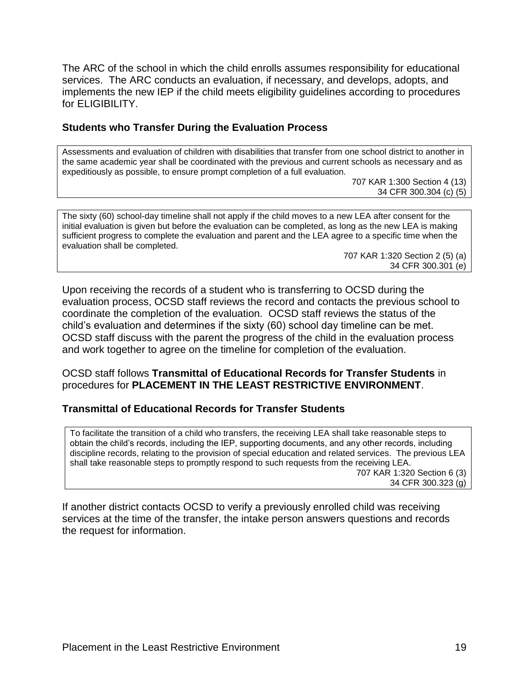The ARC of the school in which the child enrolls assumes responsibility for educational services. The ARC conducts an evaluation, if necessary, and develops, adopts, and implements the new IEP if the child meets eligibility guidelines according to procedures for ELIGIBILITY.

# **Students who Transfer During the Evaluation Process**

Assessments and evaluation of children with disabilities that transfer from one school district to another in the same academic year shall be coordinated with the previous and current schools as necessary and as expeditiously as possible, to ensure prompt completion of a full evaluation.

707 KAR 1:300 Section 4 (13) 34 CFR 300.304 (c) (5)

The sixty (60) school-day timeline shall not apply if the child moves to a new LEA after consent for the initial evaluation is given but before the evaluation can be completed, as long as the new LEA is making sufficient progress to complete the evaluation and parent and the LEA agree to a specific time when the evaluation shall be completed.

> 707 KAR 1:320 Section 2 (5) (a) 34 CFR 300.301 (e)

Upon receiving the records of a student who is transferring to OCSD during the evaluation process, OCSD staff reviews the record and contacts the previous school to coordinate the completion of the evaluation. OCSD staff reviews the status of the child's evaluation and determines if the sixty (60) school day timeline can be met. OCSD staff discuss with the parent the progress of the child in the evaluation process and work together to agree on the timeline for completion of the evaluation.

OCSD staff follows **Transmittal of Educational Records for Transfer Students** in procedures for **PLACEMENT IN THE LEAST RESTRICTIVE ENVIRONMENT**.

# **Transmittal of Educational Records for Transfer Students**

To facilitate the transition of a child who transfers, the receiving LEA shall take reasonable steps to obtain the child's records, including the IEP, supporting documents, and any other records, including discipline records, relating to the provision of special education and related services. The previous LEA shall take reasonable steps to promptly respond to such requests from the receiving LEA. 707 KAR 1:320 Section 6 (3) 34 CFR 300.323 (g)

If another district contacts OCSD to verify a previously enrolled child was receiving services at the time of the transfer, the intake person answers questions and records the request for information.